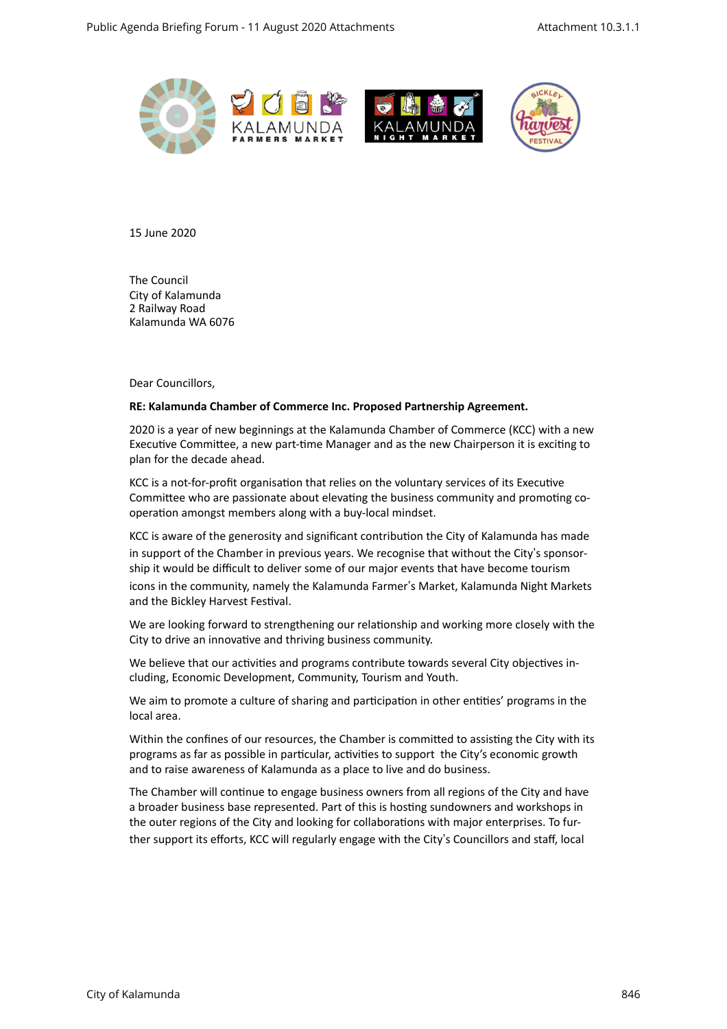



15 June 2020 

**The Council** City of Kalamunda 2 Railway Road Kalamunda WA 6076 

Dear Councillors.

#### **RE: Kalamunda Chamber of Commerce Inc. Proposed Partnership Agreement.**

2020 is a year of new beginnings at the Kalamunda Chamber of Commerce (KCC) with a new Executive Committee, a new part-time Manager and as the new Chairperson it is exciting to plan for the decade ahead.

KCC is a not-for-profit organisation that relies on the voluntary services of its Executive Committee who are passionate about elevating the business community and promoting cooperation amongst members along with a buy-local mindset.

KCC is aware of the generosity and significant contribution the City of Kalamunda has made in support of the Chamber in previous years. We recognise that without the City's sponsorship it would be difficult to deliver some of our major events that have become tourism icons in the community, namely the Kalamunda Farmer's Market, Kalamunda Night Markets and the Bickley Harvest Festival.

We are looking forward to strengthening our relationship and working more closely with the City to drive an innovative and thriving business community.

We believe that our activities and programs contribute towards several City objectives including, Economic Development, Community, Tourism and Youth.

We aim to promote a culture of sharing and participation in other entities' programs in the local area.

Within the confines of our resources, the Chamber is committed to assisting the City with its programs as far as possible in particular, activities to support the City's economic growth and to raise awareness of Kalamunda as a place to live and do business.

The Chamber will continue to engage business owners from all regions of the City and have a broader business base represented. Part of this is hosting sundowners and workshops in the outer regions of the City and looking for collaborations with major enterprises. To further support its efforts, KCC will regularly engage with the City's Councillors and staff, local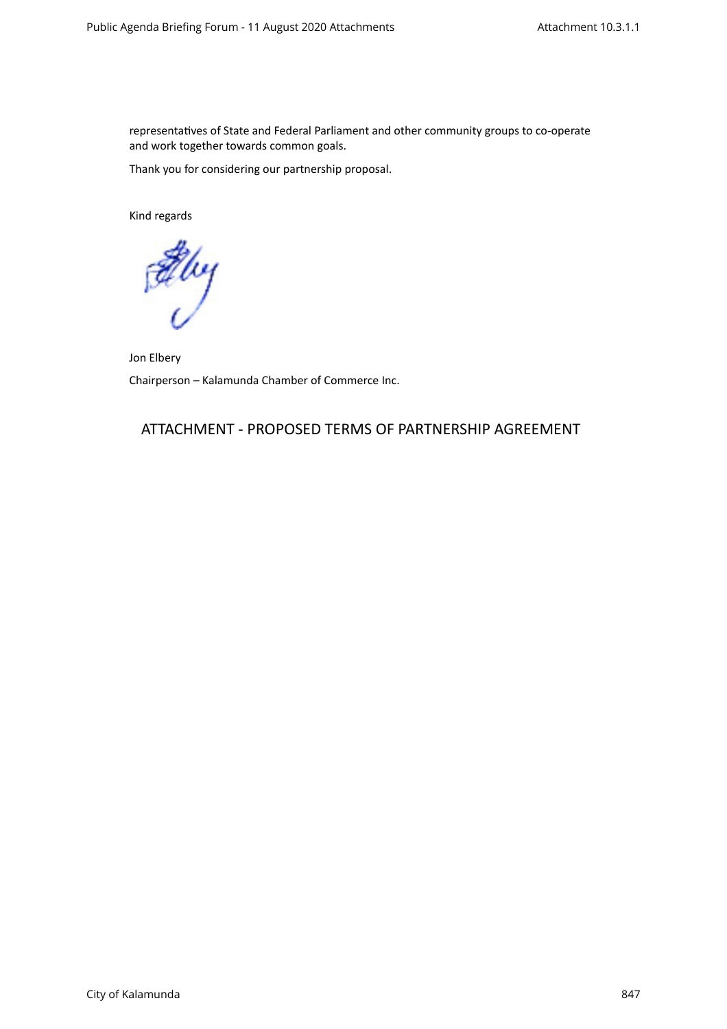representatives of State and Federal Parliament and other community groups to co-operate and work together towards common goals.

Thank you for considering our partnership proposal.

Kind regards

Elvy

Jon Elbery Chairperson - Kalamunda Chamber of Commerce Inc.

# ATTACHMENT - PROPOSED TERMS OF PARTNERSHIP AGREEMENT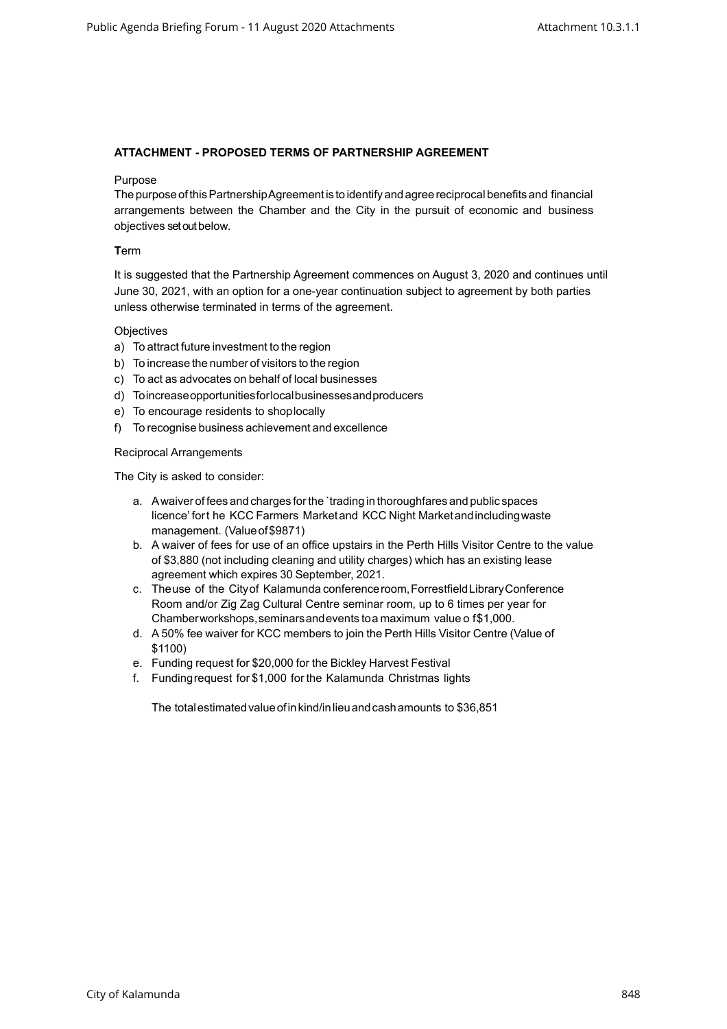### **ATTACHMENT - PROPOSED TERMS OF PARTNERSHIP AGREEMENT**

#### Purpose

The purposeofthisPartnershipAgreementis to identifyandagreereciprocal benefits and financial arrangements between the Chamber and the City in the pursuit of economic and business objectives set out below.

#### **T**erm

It is suggested that the Partnership Agreement commences on August 3, 2020 and continues until June 30, 2021, with an option for a one-year continuation subject to agreement by both parties unless otherwise terminated in terms of the agreement.

#### **Objectives**

- a) To attract future investment to the region
- b) To increase the number of visitors to the region
- c) To act as advocates on behalf of local businesses
- d) Toincreaseopportunitiesforlocalbusinessesandproducers
- e) To encourage residents to shoplocally
- f) To recognise business achievement and excellence

#### Reciprocal Arrangements

The City is asked to consider:

- a. Awaiver of fees and charges forthe `trading in thoroughfares and public spaces licence' fort he KCC Farmers Marketand KCC Night Marketandincludingwaste management. (Valueof\$9871)
- b. A waiver of fees for use of an office upstairs in the Perth Hills Visitor Centre to the value of \$3,880 (not including cleaning and utility charges) which has an existing lease agreement which expires 30 September, 2021.
- c. Theuse of the Cityof Kalamunda conferenceroom,ForrestfieldLibraryConference Room and/or Zig Zag Cultural Centre seminar room, up to 6 times per year for Chamberworkshops,seminarsandevents toa maximum value o f\$1,000.
- d. A 50% fee waiver for KCC members to join the Perth Hills Visitor Centre (Value of \$1100)
- e. Funding request for \$20,000 for the Bickley Harvest Festival
- f. Fundingrequest for \$1,000 for the Kalamunda Christmas lights

The totalestimatedvalueofinkind/inlieuandcashamounts to \$36,851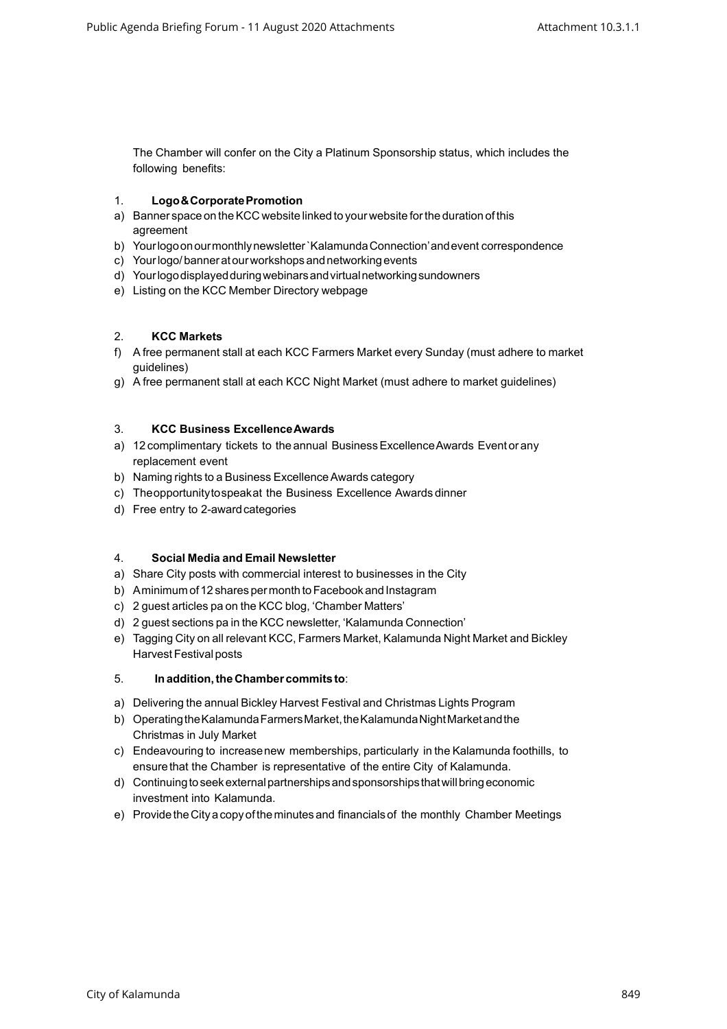The Chamber will confer on the City a Platinum Sponsorship status, which includes the following benefits:

### 1. **Logo&CorporatePromotion**

- a) Banner space on the KCC website linked to your website for the duration of this agreement
- b) Yourlogoonourmonthlynewsletter`KalamundaConnection'andevent correspondence
- c) Yourlogo/banneratourworkshopsandnetworkingevents
- d) Yourlogodisplayedduringwebinarsandvirtualnetworkingsundowners
- e) Listing on the KCC Member Directory webpage

## 2. **KCC Markets**

- f) A free permanent stall at each KCC Farmers Market every Sunday (must adhere to market guidelines)
- g) A free permanent stall at each KCC Night Market (must adhere to market guidelines)

### 3. **KCC Business ExcellenceAwards**

- a) 12 complimentary tickets to the annual Business Excellence Awards Event or any replacement event
- b) Naming rights to a Business ExcellenceAwards category
- c) Theopportunitytospeakat the Business Excellence Awards dinner
- d) Free entry to 2-awardcategories

### 4. **Social Media and Email Newsletter**

- a) Share City posts with commercial interest to businesses in the City
- b) Aminimum of 12 shares per month to Facebook and Instagram
- c) 2 guest articles pa on the KCC blog, 'Chamber Matters'
- d) 2 guest sections pa in the KCC newsletter, 'Kalamunda Connection'
- e) Tagging City on all relevant KCC, Farmers Market, Kalamunda Night Market and Bickley Harvest Festival posts

## 5. **Inaddition,the Chamber commits to**:

- a) Delivering the annual Bickley Harvest Festival and Christmas Lights Program
- b) Operating the Kalamunda Farmers Market, the Kalamunda Night Market and the Christmas in July Market
- c) Endeavouring to increasenew memberships, particularly in the Kalamunda foothills, to ensure that the Chamber is representative of the entire City of Kalamunda.
- d) Continuingtoseekexternalpartnershipsandsponsorships thatwillbringeconomic investment into Kalamunda.
- e) ProvidetheCityacopyof theminutesand financialsof the monthly Chamber Meetings